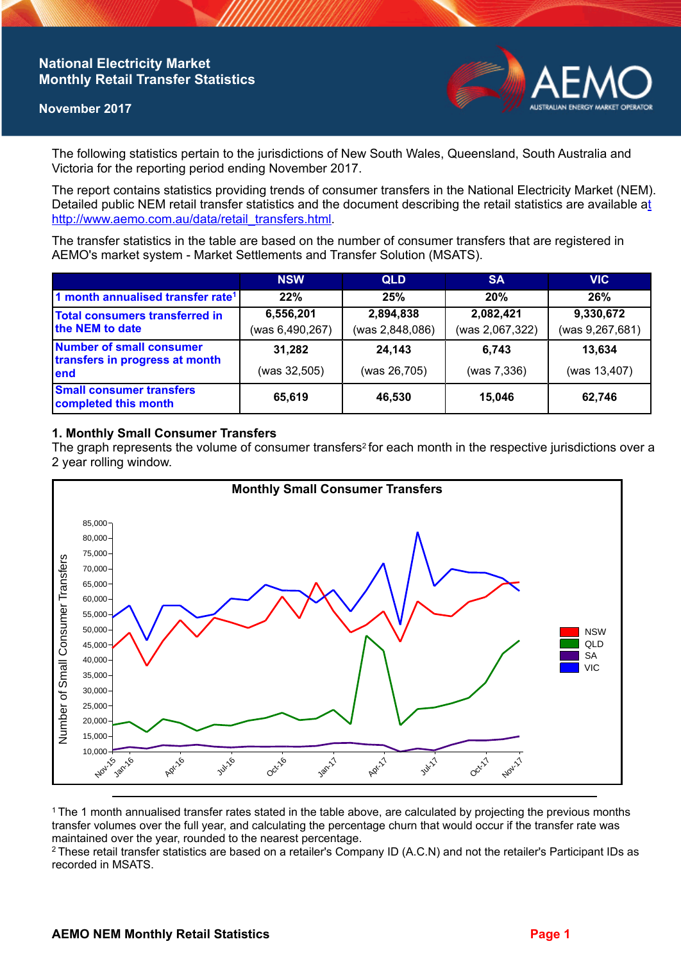## **National Electricity Market Monthly Retail Transfer Statistics**

### **November 2017**



The following statistics pertain to the jurisdictions of New South Wales, Queensland, South Australia and Victoria for the reporting period ending November 2017.

The report contains statistics providing trends of consumer transfers in the National Electricity Market (NEM). Detailed public NEM retail transfer statistics and the document describing the retail statistics are available a[t](http://www.aemo.com.au/data/retail_transfers.html)  http://www.aemo.com.au/data/retail\_transfers.html

The transfer statistics in the table are based on the number of consumer transfers that are registered in AEMO's market system - Market Settlements and Transfer Solution (MSATS).

|                                                                    | <b>NSW</b>      | <b>QLD</b>      | <b>SA</b>       | <b>VIC</b>      |
|--------------------------------------------------------------------|-----------------|-----------------|-----------------|-----------------|
| 1 month annualised transfer rate <sup>1</sup>                      | 22%             | 25%             | 20%             | 26%             |
| Total consumers transferred in<br>the NEM to date                  | 6,556,201       | 2,894,838       | 2,082,421       | 9,330,672       |
|                                                                    | (was 6,490,267) | (was 2,848,086) | (was 2,067,322) | (was 9,267,681) |
| Number of small consumer<br>transfers in progress at month<br>lend | 31,282          | 24,143          | 6.743           | 13,634          |
|                                                                    | (was 32,505)    | (was 26,705)    | (was 7,336)     | (was 13,407)    |
| <b>Small consumer transfers</b><br>completed this month            | 65,619          | 46,530          | 15.046          | 62,746          |

## **1. Monthly Small Consumer Transfers**

The graph represents the volume of consumer transfers<sup>2</sup> for each month in the respective jurisdictions over a 2 year rolling window.



<sup>1</sup>The 1 month annualised transfer rates stated in the table above, are calculated by projecting the previous months transfer volumes over the full year, and calculating the percentage churn that would occur if the transfer rate was maintained over the year, rounded to the nearest percentage.

<sup>2</sup> These retail transfer statistics are based on a retailer's Company ID (A.C.N) and not the retailer's Participant IDs as recorded in MSATS.